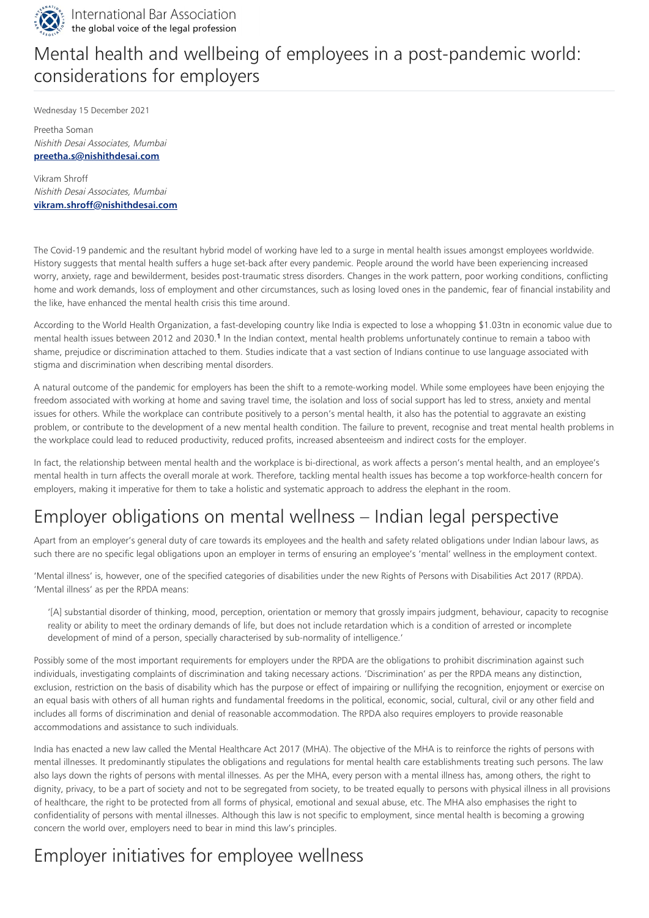

Preetha Soman Nishith Desai Associates, Mumbai **[preetha.s@nishithdesai.com](mailto:preetha.s@nishithdesai.com)**

Vikram Shroff Nishith Desai Associates, Mumbai **[vikram.shroff@nishithdesai.com](mailto:vikram.shroff@nishithdesai.com)**

The Covid-19 pandemic and the resultant hybrid model of working have led to a surge in mental health issues amongst employees worldwide. History suggests that mental health suffers a huge set-back after every pandemic. People around the world have been experiencing increased worry, anxiety, rage and bewilderment, besides post-traumatic stress disorders. Changes in the work pattern, poor working conditions, conflicting home and work demands, loss of employment and other circumstances, such as losing loved ones in the pandemic, fear of financial instability and the like, have enhanced the mental health crisis this time around.

<span id="page-0-0"></span>According to the World Health Organization, a fast-developing country like India is expected to lose a whopping \$1.03tn in economic value due to mental health issues between 2012 and 2030.<sup>1</sup> In the Indian context, mental health problems unfortunately continue to remain a taboo with shame, prejudice or discrimination attached to them. Studies indicate that a vast section of Indians continue to use language associated with stigma and discrimination when describing mental disorders.

A natural outcome of the pandemic for employers has been the shift to a remote-working model. While some employees have been enjoying the freedom associated with working at home and saving travel time, the isolation and loss of social support has led to stress, anxiety and mental issues for others. While the workplace can contribute positively to a person's mental health, it also has the potential to aggravate an existing problem, or contribute to the development of a new mental health condition. The failure to prevent, recognise and treat mental health problems in the workplace could lead to reduced productivity, reduced profits, increased absenteeism and indirect costs for the employer.

In fact, the relationship between mental health and the workplace is bi-directional, as work affects a person's mental health, and an employee's mental health in turn affects the overall morale at work. Therefore, tackling mental health issues has become a top workforce-health concern for employers, making it imperative for them to take a holistic and systematic approach to address the elephant in the room.

# Employer obligations on mental wellness – Indian legal perspective

Apart from an employer's general duty of care towards its employees and the health and safety related obligations under Indian labour laws, as such there are no specific legal obligations upon an employer in terms of ensuring an employee's 'mental' wellness in the employment context.

'Mental illness' is, however, one of the specified categories of disabilities under the new Rights of Persons with Disabilities Act 2017 (RPDA). 'Mental illness' as per the RPDA means:

'[A] substantial disorder of thinking, mood, perception, orientation or memory that grossly impairs judgment, behaviour, capacity to recognise reality or ability to meet the ordinary demands of life, but does not include retardation which is a condition of arrested or incomplete development of mind of a person, specially characterised by sub-normality of intelligence.'

Possibly some of the most important requirements for employers under the RPDA are the obligations to prohibit discrimination against such individuals, investigating complaints of discrimination and taking necessary actions. 'Discrimination' as per the RPDA means any distinction, exclusion, restriction on the basis of disability which has the purpose or effect of impairing or nullifying the recognition, enjoyment or exercise on

an equal basis with others of all human rights and fundamental freedoms in the political, economic, social, cultural, civil or any other field and includes all forms of discrimination and denial of reasonable accommodation. The RPDA also requires employers to provide reasonable accommodations and assistance to such individuals.

India has enacted a new law called the Mental Healthcare Act 2017 (MHA). The objective of the MHA is to reinforce the rights of persons with mental illnesses. It predominantly stipulates the obligations and regulations for mental health care establishments treating such persons. The law also lays down the rights of persons with mental illnesses. As per the MHA, every person with a mental illness has, among others, the right to dignity, privacy, to be a part of society and not to be segregated from society, to be treated equally to persons with physical illness in all provisions of healthcare, the right to be protected from all forms of physical, emotional and sexual abuse, etc. The MHA also emphasises the right to confidentiality of persons with mental illnesses. Although this law is not specific to employment, since mental health is becoming a growing concern the world over, employers need to bear in mind this law's principles.

### Employer initiatives for employee wellness

## Mental health and wellbeing of employees in a post-pandemic world: considerations for employers

Wednesday 15 December 2021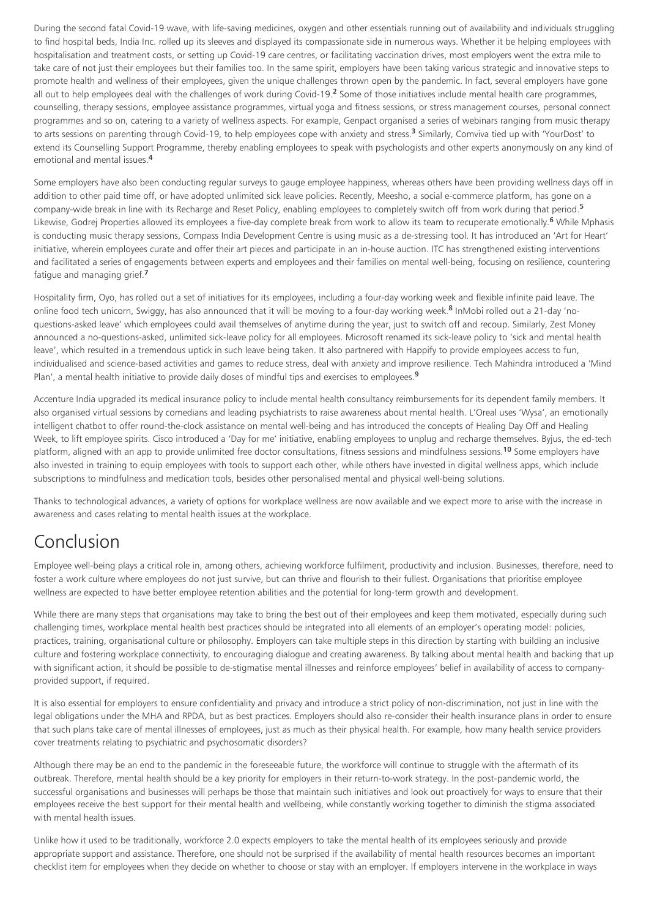<span id="page-1-0"></span>During the second fatal Covid-19 wave, with life-saving medicines, oxygen and other essentials running out of availability and individuals struggling to find hospital beds, India Inc. rolled up its sleeves and displayed its compassionate side in numerous ways. Whether it be helping employees with hospitalisation and treatment costs, or setting up Covid-19 care centres, or facilitating vaccination drives, most employers went the extra mile to take care of not just their employees but their families too. In the same spirit, employers have been taking various strategic and innovative steps to promote health and wellness of their employees, given the unique challenges thrown open by the pandemic. In fact, several employers have gone all out to help employees deal with the challenges of work during Covid-19.<sup>2</sup> Some of those initiatives include mental health care programmes, counselling, therapy sessions, employee assistance programmes, virtual yoga and fitness sessions, or stress management courses, personal connect programmes and so on, catering to a variety of wellness aspects. For example, Genpact organised a series of webinars ranging from music therapy to arts sessions on parenting through Covid-19, to help employees cope with anxiety and stress.<sup>3</sup> Similarly, Comviva tied up with 'YourDost' to extend its Counselling Support Programme, thereby enabling employees to speak with psychologists and other experts anonymously on any kind of emotional and mental issues. **4**

<span id="page-1-7"></span>Accenture India upgraded its medical insurance policy to include mental health consultancy reimbursements for its dependent family members. It also organised virtual sessions by comedians and leading psychiatrists to raise awareness about mental health. L'Oreal uses 'Wysa', an emotionally intelligent chatbot to offer round-the-clock assistance on mental well-being and has introduced the concepts of Healing Day Off and Healing Week, to lift employee spirits. Cisco introduced a 'Day for me' initiative, enabling employees to unplug and recharge themselves. Byjus, the ed-tech platform, aligned with an app to provide unlimited free doctor consultations, fitness sessions and mindfulness sessions.<sup>10</sup> Some employers have also invested in training to equip employees with tools to support each other, while others have invested in digital wellness apps, which include subscriptions to mindfulness and medication tools, besides other personalised mental and physical well-being solutions.

<span id="page-1-4"></span><span id="page-1-3"></span><span id="page-1-2"></span><span id="page-1-1"></span>Some employers have also been conducting regular surveys to gauge employee happiness, whereas others have been providing wellness days off in addition to other paid time off, or have adopted unlimited sick leave policies. Recently, Meesho, a social e-commerce platform, has gone on a company-wide break in line with its Recharge and Reset Policy, enabling employees to completely switch off from work during that period. **5** Likewise, Godrej Properties allowed its employees a five-day complete break from work to allow its team to recuperate emotionally. <sup>6</sup> While Mphasis is conducting music therapy sessions, Compass India Development Centre is using music as a de-stressing tool. It has introduced an 'Art for Heart' initiative, wherein employees curate and offer their art pieces and participate in an in-house auction. ITC has strengthened existing interventions and facilitated a series of engagements between experts and employees and their families on mental well-being, focusing on resilience, countering fatigue and managing grief. **7**

<span id="page-1-8"></span>Thanks to technological advances, a variety of options for workplace wellness are now available and we expect more to arise with the increase in awareness and cases relating to mental health issues at the workplace.

### Conclusion

Employee well-being plays a critical role in, among others, achieving workforce fulfilment, productivity and inclusion. Businesses, therefore, need to foster a work culture where employees do not just survive, but can thrive and flourish to their fullest. Organisations that prioritise employee wellness are expected to have better employee retention abilities and the potential for long-term growth and development.

<span id="page-1-6"></span><span id="page-1-5"></span>Hospitality firm, Oyo, has rolled out a set of initiatives for its employees, including a four-day working week and flexible infinite paid leave. The online food tech unicorn, Swiggy, has also announced that it will be moving to a four-day working week.<sup>8</sup> InMobi rolled out a 21-day 'noquestions-asked leave' which employees could avail themselves of anytime during the year, just to switch off and recoup. Similarly, Zest Money announced a no-questions-asked, unlimited sick-leave policy for all employees. Microsoft renamed its sick-leave policy to 'sick and mental health leave', which resulted in a tremendous uptick in such leave being taken. It also partnered with Happify to provide employees access to fun, individualised and science-based activities and games to reduce stress, deal with anxiety and improve resilience. Tech Mahindra introduced a 'Mind Plan', a mental health initiative to provide daily doses of mindful tips and exercises to employees. **9**

While there are many steps that organisations may take to bring the best out of their employees and keep them motivated, especially during such challenging times, workplace mental health best practices should be integrated into all elements of an employer's operating model: policies, practices, training, organisational culture or philosophy. Employers can take multiple steps in this direction by starting with building an inclusive culture and fostering workplace connectivity, to encouraging dialogue and creating awareness. By talking about mental health and backing that up with significant action, it should be possible to de-stigmatise mental illnesses and reinforce employees' belief in availability of access to companyprovided support, if required.

It is also essential for employers to ensure confidentiality and privacy and introduce a strict policy of non-discrimination, not just in line with the legal obligations under the MHA and RPDA, but as best practices. Employers should also re-consider their health insurance plans in order to ensure that such plans take care of mental illnesses of employees, just as much as their physical health. For example, how many health service providers cover treatments relating to psychiatric and psychosomatic disorders?

Although there may be an end to the pandemic in the foreseeable future, the workforce will continue to struggle with the aftermath of its outbreak. Therefore, mental health should be a key priority for employers in their return-to-work strategy. In the post-pandemic world, the successful organisations and businesses will perhaps be those that maintain such initiatives and look out proactively for ways to ensure that their employees receive the best support for their mental health and wellbeing, while constantly working together to diminish the stigma associated with mental health issues.

Unlike how it used to be traditionally, workforce 2.0 expects employers to take the mental health of its employees seriously and provide appropriate support and assistance. Therefore, one should not be surprised if the availability of mental health resources becomes an important checklist item for employees when they decide on whether to choose or stay with an employer. If employers intervene in the workplace in ways